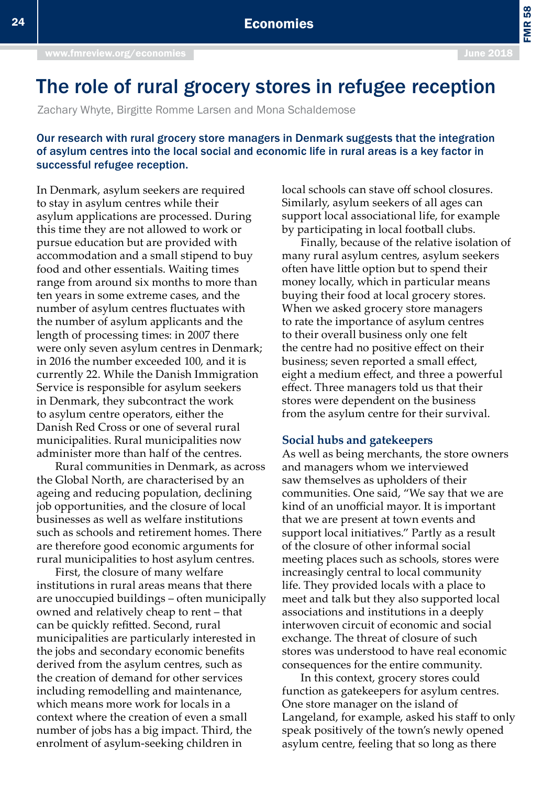# The role of rural grocery stores in refugee reception

Zachary Whyte, Birgitte Romme Larsen and Mona Schaldemose

## Our research with rural grocery store managers in Denmark suggests that the integration of asylum centres into the local social and economic life in rural areas is a key factor in successful refugee reception.

In Denmark, asylum seekers are required to stay in asylum centres while their asylum applications are processed. During this time they are not allowed to work or pursue education but are provided with accommodation and a small stipend to buy food and other essentials. Waiting times range from around six months to more than ten years in some extreme cases, and the number of asylum centres fluctuates with the number of asylum applicants and the length of processing times: in 2007 there were only seven asylum centres in Denmark; in 2016 the number exceeded 100, and it is currently 22. While the Danish Immigration Service is responsible for asylum seekers in Denmark, they subcontract the work to asylum centre operators, either the Danish Red Cross or one of several rural municipalities. Rural municipalities now administer more than half of the centres.

Rural communities in Denmark, as across the Global North, are characterised by an ageing and reducing population, declining job opportunities, and the closure of local businesses as well as welfare institutions such as schools and retirement homes. There are therefore good economic arguments for rural municipalities to host asylum centres.

First, the closure of many welfare institutions in rural areas means that there are unoccupied buildings – often municipally owned and relatively cheap to rent – that can be quickly refitted. Second, rural municipalities are particularly interested in the jobs and secondary economic benefits derived from the asylum centres, such as the creation of demand for other services including remodelling and maintenance, which means more work for locals in a context where the creation of even a small number of jobs has a big impact. Third, the enrolment of asylum-seeking children in

local schools can stave off school closures. Similarly, asylum seekers of all ages can support local associational life, for example by participating in local football clubs.

Finally, because of the relative isolation of many rural asylum centres, asylum seekers often have little option but to spend their money locally, which in particular means buying their food at local grocery stores. When we asked grocery store managers to rate the importance of asylum centres to their overall business only one felt the centre had no positive effect on their business; seven reported a small effect, eight a medium effect, and three a powerful effect. Three managers told us that their stores were dependent on the business from the asylum centre for their survival.

#### **Social hubs and gatekeepers**

As well as being merchants, the store owners and managers whom we interviewed saw themselves as upholders of their communities. One said, "We say that we are kind of an unofficial mayor. It is important that we are present at town events and support local initiatives." Partly as a result of the closure of other informal social meeting places such as schools, stores were increasingly central to local community life. They provided locals with a place to meet and talk but they also supported local associations and institutions in a deeply interwoven circuit of economic and social exchange. The threat of closure of such stores was understood to have real economic consequences for the entire community.

In this context, grocery stores could function as gatekeepers for asylum centres. One store manager on the island of Langeland, for example, asked his staff to only speak positively of the town's newly opened asylum centre, feeling that so long as there